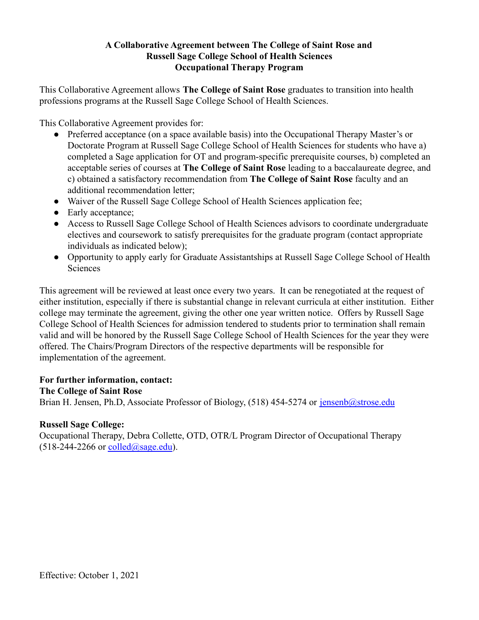## **A Collaborative Agreement between The College of Saint Rose and Russell Sage College School of Health Sciences Occupational Therapy Program**

This Collaborative Agreement allows **The College of Saint Rose** graduates to transition into health professions programs at the Russell Sage College School of Health Sciences.

This Collaborative Agreement provides for:

- Preferred acceptance (on a space available basis) into the Occupational Therapy Master's or Doctorate Program at Russell Sage College School of Health Sciences for students who have a) completed a Sage application for OT and program-specific prerequisite courses, b) completed an acceptable series of courses at **The College of Saint Rose** leading to a baccalaureate degree, and c) obtained a satisfactory recommendation from **The College of Saint Rose** faculty and an additional recommendation letter;
- Waiver of the Russell Sage College School of Health Sciences application fee;
- Early acceptance:
- Access to Russell Sage College School of Health Sciences advisors to coordinate undergraduate electives and coursework to satisfy prerequisites for the graduate program (contact appropriate individuals as indicated below);
- Opportunity to apply early for Graduate Assistantships at Russell Sage College School of Health Sciences

This agreement will be reviewed at least once every two years. It can be renegotiated at the request of either institution, especially if there is substantial change in relevant curricula at either institution. Either college may terminate the agreement, giving the other one year written notice. Offers by Russell Sage College School of Health Sciences for admission tendered to students prior to termination shall remain valid and will be honored by the Russell Sage College School of Health Sciences for the year they were offered. The Chairs/Program Directors of the respective departments will be responsible for implementation of the agreement.

#### **For further information, contact:**

#### **The College of Saint Rose**

Brian H. Jensen, Ph.D. Associate Professor of Biology, (518) 454-5274 or [jensenb@strose.edu](mailto:jensenb@st.rose.edu)

#### **Russell Sage College:**

Occupational Therapy, Debra Collette, OTD, OTR/L Program Director of Occupational Therapy  $(518-244-2266$  or [colled@sage.edu](mailto:colled@sage.edu)).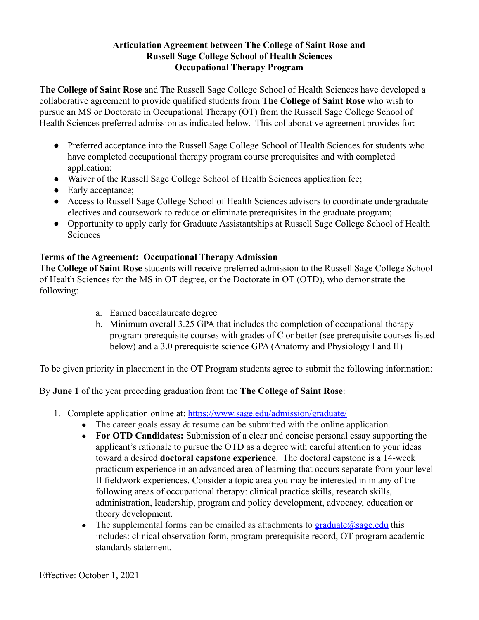## **Articulation Agreement between The College of Saint Rose and Russell Sage College School of Health Sciences Occupational Therapy Program**

**The College of Saint Rose** and The Russell Sage College School of Health Sciences have developed a collaborative agreement to provide qualified students from **The College of Saint Rose** who wish to pursue an MS or Doctorate in Occupational Therapy (OT) from the Russell Sage College School of Health Sciences preferred admission as indicated below. This collaborative agreement provides for:

- Preferred acceptance into the Russell Sage College School of Health Sciences for students who have completed occupational therapy program course prerequisites and with completed application;
- Waiver of the Russell Sage College School of Health Sciences application fee;
- Early acceptance;
- Access to Russell Sage College School of Health Sciences advisors to coordinate undergraduate electives and coursework to reduce or eliminate prerequisites in the graduate program;
- Opportunity to apply early for Graduate Assistantships at Russell Sage College School of Health **Sciences**

# **Terms of the Agreement: Occupational Therapy Admission**

**The College of Saint Rose** students will receive preferred admission to the Russell Sage College School of Health Sciences for the MS in OT degree, or the Doctorate in OT (OTD), who demonstrate the following:

- a. Earned baccalaureate degree
- b. Minimum overall 3.25 GPA that includes the completion of occupational therapy program prerequisite courses with grades of C or better (see prerequisite courses listed below) and a 3.0 prerequisite science GPA (Anatomy and Physiology I and II)

To be given priority in placement in the OT Program students agree to submit the following information:

By **June 1** of the year preceding graduation from the **The College of Saint Rose**:

- 1. Complete application online at: <https://www.sage.edu/admission/graduate/>
	- The career goals essay  $\&$  resume can be submitted with the online application.
	- **For OTD Candidates:** Submission of a clear and concise personal essay supporting the applicant's rationale to pursue the OTD as a degree with careful attention to your ideas toward a desired **doctoral capstone experience**. The doctoral capstone is a 14-week practicum experience in an advanced area of learning that occurs separate from your level II fieldwork experiences. Consider a topic area you may be interested in in any of the following areas of occupational therapy: clinical practice skills, research skills, administration, leadership, program and policy development, advocacy, education or theory development.
	- The supplemental forms can be emailed as attachments to graduate  $\hat{\omega}$  sage.edu this includes: clinical observation form, program prerequisite record, OT program academic standards statement.